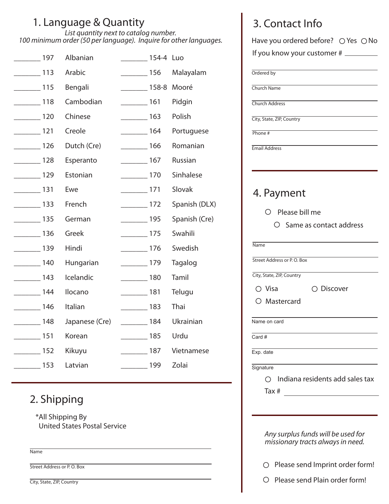## 1. Language & Quantity

*List quantity next to catalog number. 100 minimum order (50 per language). Inquire for other languages.*

| $\sim$ 197        | Albanian       | 154-4 Luo         |     |                |
|-------------------|----------------|-------------------|-----|----------------|
| $\frac{113}{2}$   | Arabic         | $\frac{156}{2}$   |     | Malayalam      |
| $\frac{115}{2}$   | Bengali        | $\frac{158-8}{2}$ |     | Mooré          |
| $\sim$ 118        | Cambodian      | $\frac{161}{256}$ |     | Pidgin         |
| $\frac{120}{2}$   | Chinese        | $\frac{163}{2}$   |     | Polish         |
| $\frac{121}{2}$   | Creole         | $\frac{164}{2}$   |     | Portuguese     |
| $\frac{126}{2}$   | Dutch (Cre)    | $\frac{166}{256}$ |     | Romanian       |
| $\frac{128}{2}$   | Esperanto      | $\frac{167}{2}$   |     | <b>Russian</b> |
| $\frac{129}{2}$   | Estonian       | $\frac{170}{2}$   |     | Sinhalese      |
| $\frac{131}{2}$   | Ewe            | $\frac{1}{2}$ 171 |     | Slovak         |
| $\frac{133}{2}$   | French         | $\frac{1}{2}$ 172 |     | Spanish (DLX)  |
| $\frac{135}{2}$   | German         | $\frac{1}{1}$     |     | Spanish (Cre)  |
| $\frac{136}{2}$   | Greek          | $\frac{175}{2}$   |     | Swahili        |
| $\frac{139}{2}$   | Hindi          | $\frac{1}{2}$     |     | Swedish        |
| $\frac{1}{2}$ 140 | Hungarian      | $\frac{179}{2}$   |     | Tagalog        |
| $\frac{1}{2}$ 143 | Icelandic      | $\frac{180}{2}$   |     | Tamil          |
| $\frac{144}{2}$   | Ilocano        | $\frac{181}{2}$   |     | Telugu         |
| $\frac{146}{146}$ | Italian        | $\frac{183}{2}$   |     | Thai           |
| $\frac{148}{148}$ | Japanese (Cre) |                   | 184 | Ukrainian      |
| $\frac{151}{2}$   | Korean         | $\frac{185}{2}$   |     | Urdu           |
| $\frac{152}{2}$   | Kikuyu         | $\frac{187}{187}$ |     | Vietnamese     |
| $\frac{153}{2}$   | Latvian        | $\frac{199}{2}$   |     | Zolai          |

## 2. Shipping

\*All Shipping By United States Postal Service

Name

Street Address or P.O. Box

|  |  | City, State, ZIP, Country |
|--|--|---------------------------|
|--|--|---------------------------|

| 3. Contact Info |  |
|-----------------|--|
|                 |  |

|           | If you know your customer # _________      |
|-----------|--------------------------------------------|
|           | Ordered by                                 |
|           | Church Name                                |
|           | <b>Church Address</b>                      |
|           | City, State, ZIP, Country                  |
| Phone $#$ |                                            |
|           | <b>Email Address</b>                       |
|           |                                            |
|           |                                            |
|           | 4. Payment                                 |
|           |                                            |
|           | $\circlearrowright$ Please bill me         |
|           | O Same as contact address                  |
| Name      |                                            |
|           |                                            |
|           | Street Address or P.O. Box                 |
|           | City, State, ZIP, Country                  |
|           | $\circ$ Visa<br>○ Discover                 |
|           | O Mastercard                               |
|           | Name on card                               |
|           |                                            |
| Card #    |                                            |
| Exp. date |                                            |
|           |                                            |
|           | $\bigcirc$ Indiana residents add sales tax |
| Signature |                                            |

*missionary tracts always in need.*

 $\bigcirc$  Please send Imprint order form!

O Please send Plain order form!